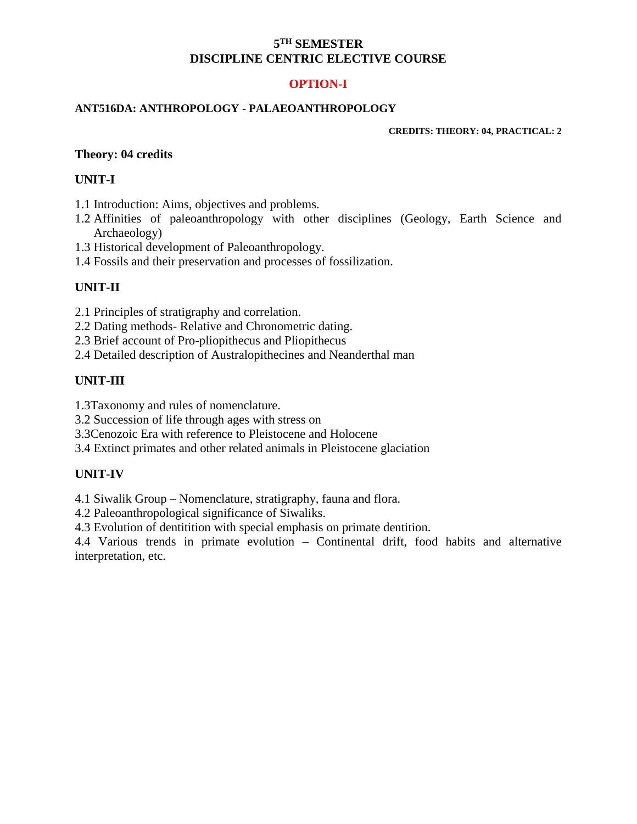### **5 TH SEMESTER DISCIPLINE CENTRIC ELECTIVE COURSE**

## **OPTION-I**

#### **ANT516DA: ANTHROPOLOGY - PALAEOANTHROPOLOGY**

**CREDITS: THEORY: 04, PRACTICAL: 2**

### **Theory: 04 credits**

### **UNIT-I**

- 1.1 Introduction: Aims, objectives and problems.
- 1.2 Affinities of paleoanthropology with other disciplines (Geology, Earth Science and Archaeology)
- 1.3 Historical development of Paleoanthropology.
- 1.4 Fossils and their preservation and processes of fossilization.

### **UNIT-II**

- 2.1 Principles of stratigraphy and correlation.
- 2.2 Dating methods- Relative and Chronometric dating.
- 2.3 Brief account of Pro-pliopithecus and Pliopithecus
- 2.4 Detailed description of Australopithecines and Neanderthal man

### **UNIT-III**

- 1.3Taxonomy and rules of nomenclature.
- 3.2 Succession of life through ages with stress on
- 3.3Cenozoic Era with reference to Pleistocene and Holocene
- 3.4 Extinct primates and other related animals in Pleistocene glaciation

### **UNIT-IV**

4.1 Siwalik Group – Nomenclature, stratigraphy, fauna and flora.

4.2 Paleoanthropological significance of Siwaliks.

4.3 Evolution of dentitition with special emphasis on primate dentition.

4.4 Various trends in primate evolution – Continental drift, food habits and alternative interpretation, etc.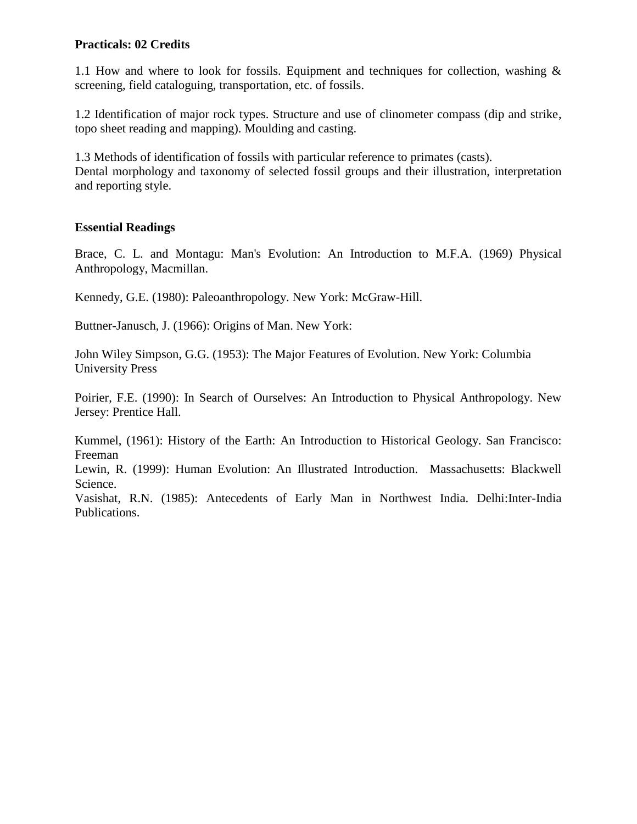### **Practicals: 02 Credits**

1.1 How and where to look for fossils. Equipment and techniques for collection, washing  $\&$ screening, field cataloguing, transportation, etc. of fossils.

1.2 Identification of major rock types. Structure and use of clinometer compass (dip and strike, topo sheet reading and mapping). Moulding and casting.

1.3 Methods of identification of fossils with particular reference to primates (casts). Dental morphology and taxonomy of selected fossil groups and their illustration, interpretation and reporting style.

### **Essential Readings**

Brace, C. L. and Montagu: Man's Evolution: An Introduction to M.F.A. (1969) Physical Anthropology, Macmillan.

Kennedy, G.E. (1980): Paleoanthropology. New York: McGraw-Hill.

Buttner-Janusch, J. (1966): Origins of Man. New York:

John Wiley Simpson, G.G. (1953): The Major Features of Evolution. New York: Columbia University Press

Poirier, F.E. (1990): In Search of Ourselves: An Introduction to Physical Anthropology. New Jersey: Prentice Hall.

Kummel, (1961): History of the Earth: An Introduction to Historical Geology. San Francisco: Freeman

Lewin, R. (1999): Human Evolution: An Illustrated Introduction. Massachusetts: Blackwell Science.

Vasishat, R.N. (1985): Antecedents of Early Man in Northwest India. Delhi:Inter-India Publications.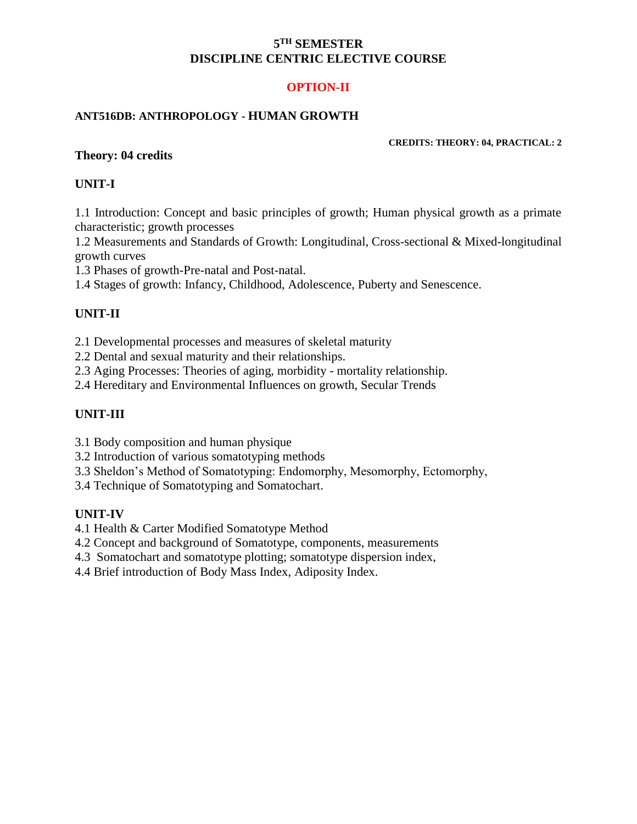### **5 TH SEMESTER DISCIPLINE CENTRIC ELECTIVE COURSE**

# **OPTION-II**

### **ANT516DB: ANTHROPOLOGY - HUMAN GROWTH**

#### **CREDITS: THEORY: 04, PRACTICAL: 2**

### **Theory: 04 credits**

### **UNIT-I**

1.1 Introduction: Concept and basic principles of growth; Human physical growth as a primate characteristic; growth processes

1.2 Measurements and Standards of Growth: Longitudinal, Cross-sectional & Mixed-longitudinal growth curves

1.3 Phases of growth-Pre-natal and Post-natal.

1.4 Stages of growth: Infancy, Childhood, Adolescence, Puberty and Senescence.

# **UNIT-II**

2.1 Developmental processes and measures of skeletal maturity

2.2 Dental and sexual maturity and their relationships.

2.3 Aging Processes: Theories of aging, morbidity - mortality relationship.

2.4 Hereditary and Environmental Influences on growth, Secular Trends

# **UNIT-III**

3.1 Body composition and human physique

3.2 Introduction of various somatotyping methods

3.3 Sheldon's Method of Somatotyping: Endomorphy, Mesomorphy, Ectomorphy,

3.4 Technique of Somatotyping and Somatochart.

# **UNIT-IV**

4.1 Health & Carter Modified Somatotype Method

4.2 Concept and background of Somatotype, components, measurements

4.3 Somatochart and somatotype plotting; somatotype dispersion index,

4.4 Brief introduction of Body Mass Index, Adiposity Index.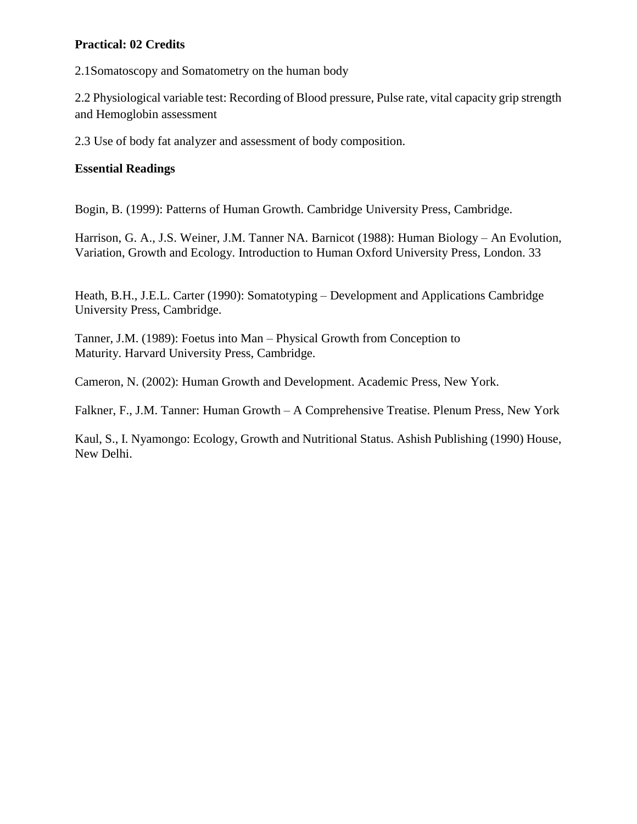## **Practical: 02 Credits**

2.1Somatoscopy and Somatometry on the human body

2.2 Physiological variable test: Recording of Blood pressure, Pulse rate, vital capacity grip strength and Hemoglobin assessment

2.3 Use of body fat analyzer and assessment of body composition.

### **Essential Readings**

Bogin, B. (1999): Patterns of Human Growth. Cambridge University Press, Cambridge.

Harrison, G. A., J.S. Weiner, J.M. Tanner NA. Barnicot (1988): Human Biology – An Evolution, Variation, Growth and Ecology. Introduction to Human Oxford University Press, London. 33

Heath, B.H., J.E.L. Carter (1990): Somatotyping – Development and Applications Cambridge University Press, Cambridge.

Tanner, J.M. (1989): Foetus into Man – Physical Growth from Conception to Maturity. Harvard University Press, Cambridge.

Cameron, N. (2002): Human Growth and Development. Academic Press, New York.

Falkner, F., J.M. Tanner: Human Growth – A Comprehensive Treatise. Plenum Press, New York

Kaul, S., I. Nyamongo: Ecology, Growth and Nutritional Status. Ashish Publishing (1990) House, New Delhi.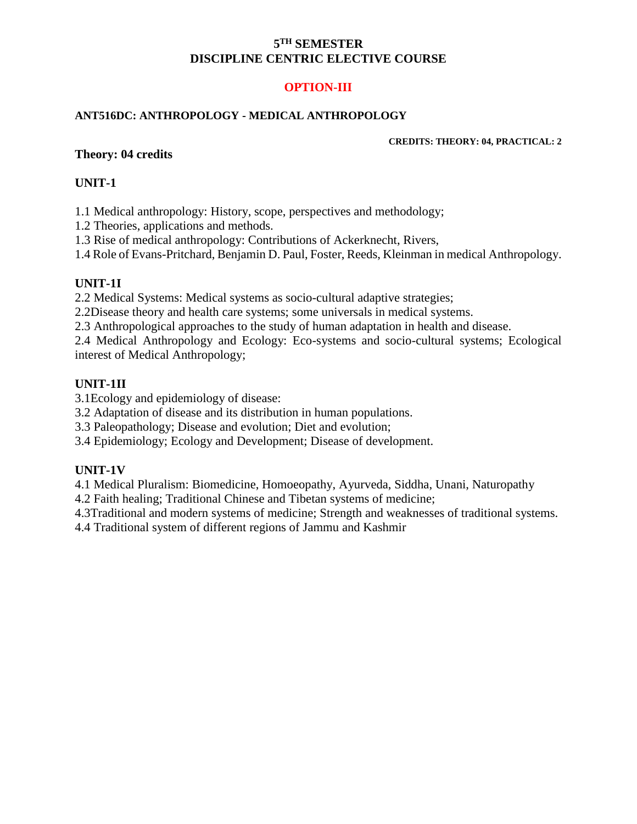### **5 TH SEMESTER DISCIPLINE CENTRIC ELECTIVE COURSE**

# **OPTION-III**

### **ANT516DC: ANTHROPOLOGY - MEDICAL ANTHROPOLOGY**

#### **CREDITS: THEORY: 04, PRACTICAL: 2**

### **Theory: 04 credits**

### **UNIT-1**

1.1 Medical anthropology: History, scope, perspectives and methodology;

1.2 Theories, applications and methods.

1.3 Rise of medical anthropology: Contributions of Ackerknecht, Rivers,

1.4 Role of Evans-Pritchard, Benjamin D. Paul, Foster, Reeds, Kleinman in medical Anthropology.

### **UNIT-1I**

2.2 Medical Systems: Medical systems as socio-cultural adaptive strategies;

2.2Disease theory and health care systems; some universals in medical systems.

2.3 Anthropological approaches to the study of human adaptation in health and disease.

2.4 Medical Anthropology and Ecology: Eco-systems and socio-cultural systems; Ecological interest of Medical Anthropology;

# **UNIT-1II**

3.1Ecology and epidemiology of disease:

3.2 Adaptation of disease and its distribution in human populations.

3.3 Paleopathology; Disease and evolution; Diet and evolution;

3.4 Epidemiology; Ecology and Development; Disease of development.

# **UNIT-1V**

4.1 Medical Pluralism: Biomedicine, Homoeopathy, Ayurveda, Siddha, Unani, Naturopathy

4.2 Faith healing; Traditional Chinese and Tibetan systems of medicine;

4.3Traditional and modern systems of medicine; Strength and weaknesses of traditional systems.

4.4 Traditional system of different regions of Jammu and Kashmir